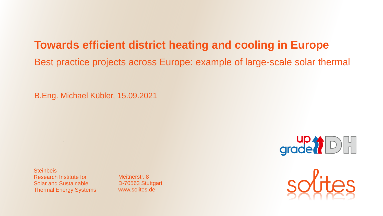## **Towards efficient district heating and cooling in Europe**

Best practice projects across Europe: example of large-scale solar thermal

B.Eng. Michael Kübler, 15.09.2021

grade?

**Steinbeis** Research Institute for Solar and Sustainable Thermal Energy Systems

.

Meitnerstr. 8 D-70563 Stuttgart www.solites.de

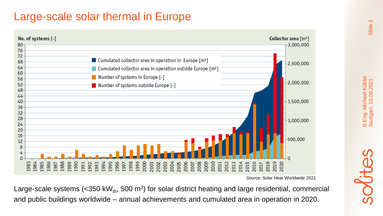## Large-scale solar thermal in Europe



*S*ource: Solar Heat Worldwide 2021

Large-scale systems (<350 kW $_{\text{th}}$ , 500 m<sup>2</sup>) for solar district heating and large residential, commercial and public buildings worldwide – annual achievements and cumulated area in operation in 2020.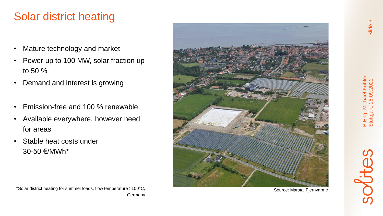# Solar district heating

- Mature technology and market
- Power up to 100 MW, solar fraction up to 50 %
- Demand and interest is growing
- Emission-free and 100 % renewable
- Available everywhere, however need for areas
- Stable heat costs under 30 -50 €/MWh\*



Source: Marstal Fjernvarme



\*Solar district heating for summer loads, flow temperature >100 °C, **Germany**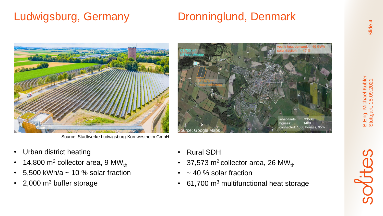# Ludwigsburg, Germany **Dronninglund, Denmark**



Source: Stadtwerke Ludwigsburg-Kornwestheim GmbH

- Urban district heating
- 14,800 m<sup>2</sup> collector area, 9 MW<sub>th</sub>
- 5,500 kWh/a  $\sim$  10 % solar fraction
- 2,000 m<sup>3</sup> buffer storage



- Rural SDH
- 37,573  $m^2$  collector area, 26 MW<sub>th</sub>
- $\cdot$  ~ 40 % solar fraction
- 61,700 m<sup>3</sup> multifunctional heat storage